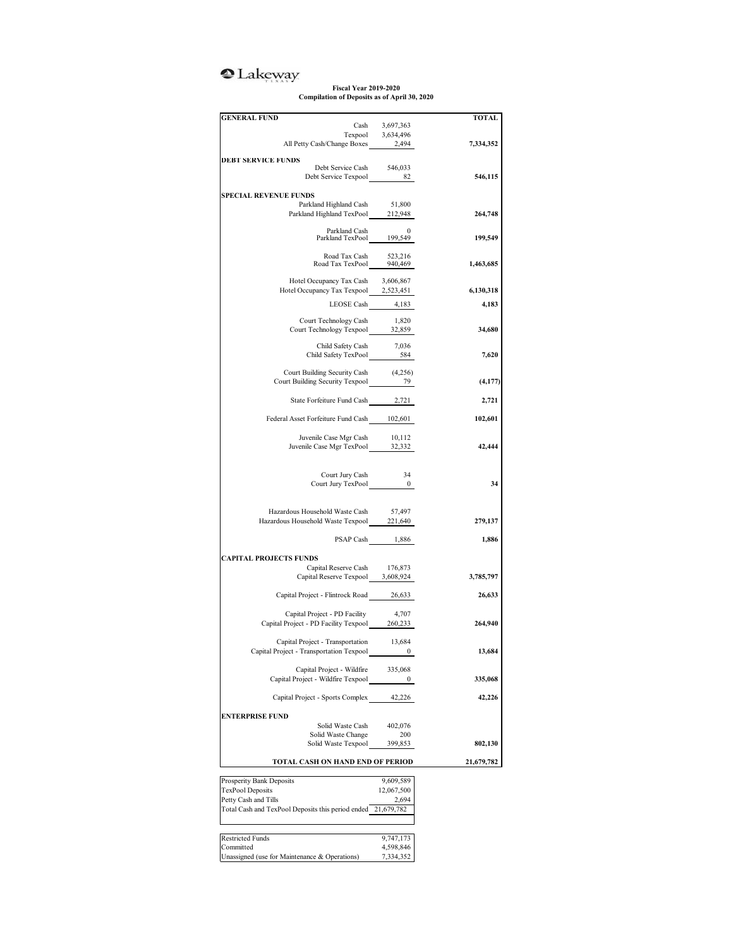## <sup>2</sup>Lakeway

**Fiscal Year 2019-2020 Compilation of Deposits as of April 30, 2020**

| <b>GENERAL FUND</b>                                          |                                     | TOTAL     |
|--------------------------------------------------------------|-------------------------------------|-----------|
|                                                              | Cash 3,697,363<br>Texpool 3,634,496 |           |
|                                                              |                                     |           |
| All Petty Cash/Change Boxes 2,494                            |                                     | 7,334,352 |
| <b>DEBT SERVICE FUNDS</b>                                    |                                     |           |
| Debt Service Cash<br>Debt Service Texpool 82                 | 546,033                             |           |
|                                                              |                                     | 546,115   |
| <b>SPECIAL REVENUE FUNDS</b>                                 |                                     |           |
| Parkland Highland Cash                                       | 51,800                              |           |
| Parkland Highland TexPool 212,948                            |                                     | 264,748   |
|                                                              |                                     |           |
| Parkland Cash 0<br>Parkland TexPool 199,549                  |                                     | 199,549   |
|                                                              |                                     |           |
| Road Tax Cash 523,216<br>Road Tax TexPool 940,469            |                                     | 1,463,685 |
|                                                              |                                     |           |
| Hotel Occupancy Tax Cash                                     | 3,606,867                           |           |
| Hotel Occupancy Tax Texpool 2,523,451                        |                                     | 6,130,318 |
| LEOSE Cash 4,183                                             |                                     | 4,183     |
|                                                              |                                     |           |
| Court Technology Cash                                        | 1,820                               |           |
| Court Technology Texpool ______ 32,859                       |                                     | 34,680    |
| Child Safety Cash                                            | 7,036                               |           |
| Child Safety TexPool 584                                     |                                     | 7,620     |
|                                                              |                                     |           |
| Court Building Security Cash (4,256)                         |                                     |           |
| Court Building Security Texpool 79                           |                                     | (4, 177)  |
| State Forfeiture Fund Cash 2,721                             |                                     | 2,721     |
|                                                              |                                     |           |
| Federal Asset Forfeiture Fund Cash 102,601                   |                                     | 102,601   |
|                                                              |                                     |           |
| Juvenile Case Mgr Cash                                       | 10,112                              |           |
| Juvenile Case Mgr TexPool 32,332                             |                                     | 42,444    |
|                                                              |                                     |           |
| Court Jury Cash                                              | 34                                  |           |
| Court Jury TexPool 0                                         |                                     | 34        |
|                                                              |                                     |           |
|                                                              |                                     |           |
| Hazardous Household Waste Cash                               | 57,497                              |           |
| Hazardous Household Waste Texpool 221,640                    |                                     | 279,137   |
|                                                              | PSAP Cash 1,886                     | 1,886     |
|                                                              |                                     |           |
| <b>CAPITAL PROJECTS FUNDS</b>                                |                                     |           |
| Capital Reserve Cash                                         | 176,873                             |           |
| Capital Reserve Texpool 3,608,924                            |                                     | 3,785,797 |
|                                                              |                                     |           |
| Capital Project - Flintrock Road 26,633                      |                                     | 26,633    |
| Capital Project - PD Facility                                | 4.707                               |           |
| Capital Project - PD Facility Texpool 260,233                |                                     | 264,940   |
|                                                              |                                     |           |
| Capital Project - Transportation                             | 13,684                              |           |
| Capital Project - Transportation Texpool                     | 0                                   | 13,684    |
|                                                              |                                     |           |
| Capital Project - Wildfire                                   | 335,068                             |           |
| Capital Project - Wildfire Texpool                           | 0                                   | 335,068   |
| Capital Project - Sports Complex                             | 42,226                              | 42,226    |
|                                                              |                                     |           |
| <b>ENTERPRISE FUND</b>                                       |                                     |           |
| Solid Waste Cash                                             | 402,076                             |           |
| Solid Waste Change                                           | 200                                 |           |
| Solid Waste Texpool                                          | 399,853                             | 802,130   |
| TOTAL CASH ON HAND END OF PERIOD                             | 21,679,782                          |           |
|                                                              |                                     |           |
| Prosperity Bank Deposits                                     | 9,609,589                           |           |
| TexPool Deposits                                             | 12,067,500                          |           |
|                                                              | 2,694                               |           |
| Petty Cash and Tills                                         |                                     |           |
| Total Cash and TexPool Deposits this period ended 21,679,782 |                                     |           |
|                                                              |                                     |           |
|                                                              |                                     |           |
| <b>Restricted Funds</b><br>Committed                         | 9,747,173<br>4,598,846              |           |